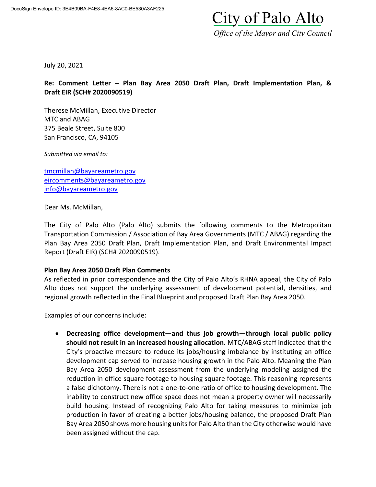# City of Palo Alto

 *Office of the Mayor and City Council*

July 20, 2021

## **Re: Comment Letter – Plan Bay Area 2050 Draft Plan, Draft Implementation Plan, & Draft EIR (SCH# 2020090519)**

Therese McMillan, Executive Director MTC and ABAG 375 Beale Street, Suite 800 San Francisco, CA, 94105

*Submitted via email to:*

[tmcmillan@bayareametro.gov](mailto:tmcmillan@bayareametro.gov) [eircomments@bayareametro.gov](mailto:eircomments@bayareametro.gov) [info@bayareametro.gov](mailto:info@bayareametro.gov)

Dear Ms. McMillan,

The City of Palo Alto (Palo Alto) submits the following comments to the Metropolitan Transportation Commission / Association of Bay Area Governments (MTC / ABAG) regarding the Plan Bay Area 2050 Draft Plan, Draft Implementation Plan, and Draft Environmental Impact Report (Draft EIR) (SCH# 2020090519).

#### **Plan Bay Area 2050 Draft Plan Comments**

As reflected in prior correspondence and the City of Palo Alto's RHNA appeal, the City of Palo Alto does not support the underlying assessment of development potential, densities, and regional growth reflected in the Final Blueprint and proposed Draft Plan Bay Area 2050.

Examples of our concerns include:

 **Decreasing office development—and thus job growth—through local public policy should not result in an increased housing allocation.** MTC/ABAG staff indicated that the City's proactive measure to reduce its jobs/housing imbalance by instituting an office development cap served to increase housing growth in the Palo Alto. Meaning the Plan Bay Area 2050 development assessment from the underlying modeling assigned the reduction in office square footage to housing square footage. This reasoning represents a false dichotomy. There is not a one-to-one ratio of office to housing development. The inability to construct new office space does not mean a property owner will necessarily build housing. Instead of recognizing Palo Alto for taking measures to minimize job production in favor of creating a better jobs/housing balance, the proposed Draft Plan Bay Area 2050 shows more housing units for Palo Alto than the City otherwise would have been assigned without the cap.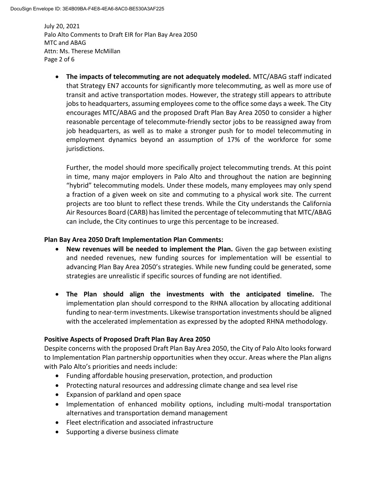July 20, 2021 Palo Alto Comments to Draft EIR for Plan Bay Area 2050 MTC and ABAG Attn: Ms. Therese McMillan Page 2 of 6

 **The impacts of telecommuting are not adequately modeled.** MTC/ABAG staff indicated that Strategy EN7 accounts for significantly more telecommuting, as well as more use of transit and active transportation modes. However, the strategy still appears to attribute jobs to headquarters, assuming employees come to the office some days a week. The City encourages MTC/ABAG and the proposed Draft Plan Bay Area 2050 to consider a higher reasonable percentage of telecommute‐friendly sector jobs to be reassigned away from job headquarters, as well as to make a stronger push for to model telecommuting in employment dynamics beyond an assumption of 17% of the workforce for some jurisdictions.

Further, the model should more specifically project telecommuting trends. At this point in time, many major employers in Palo Alto and throughout the nation are beginning "hybrid" telecommuting models. Under these models, many employees may only spend a fraction of a given week on site and commuting to a physical work site. The current projects are too blunt to reflect these trends. While the City understands the California Air Resources Board (CARB) has limited the percentage of telecommuting that MTC/ABAG can include, the City continues to urge this percentage to be increased.

## **Plan Bay Area 2050 Draft Implementation Plan Comments:**

- **New revenues will be needed to implement the Plan.** Given the gap between existing and needed revenues, new funding sources for implementation will be essential to advancing Plan Bay Area 2050's strategies. While new funding could be generated, some strategies are unrealistic if specific sources of funding are not identified.
- **The Plan should align the investments with the anticipated timeline.** The implementation plan should correspond to the RHNA allocation by allocating additional funding to near-term investments. Likewise transportation investments should be aligned with the accelerated implementation as expressed by the adopted RHNA methodology.

#### **Positive Aspects of Proposed Draft Plan Bay Area 2050**

Despite concerns with the proposed Draft Plan Bay Area 2050, the City of Palo Alto looks forward to Implementation Plan partnership opportunities when they occur. Areas where the Plan aligns with Palo Alto's priorities and needs include:

- Funding affordable housing preservation, protection, and production
- Protecting natural resources and addressing climate change and sea level rise
- Expansion of parkland and open space
- Implementation of enhanced mobility options, including multi-modal transportation alternatives and transportation demand management
- Fleet electrification and associated infrastructure
- Supporting a diverse business climate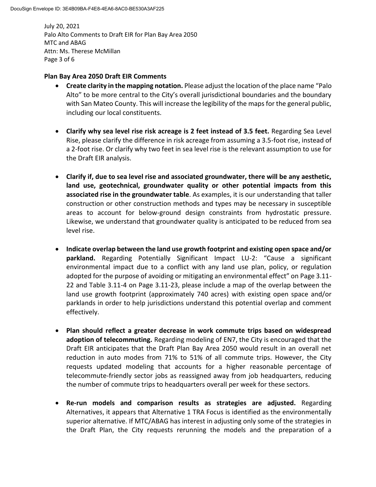July 20, 2021 Palo Alto Comments to Draft EIR for Plan Bay Area 2050 MTC and ABAG Attn: Ms. Therese McMillan Page 3 of 6

#### **Plan Bay Area 2050 Draft EIR Comments**

- **Create clarity in the mapping notation.** Please adjust the location of the place name "Palo Alto" to be more central to the City's overall jurisdictional boundaries and the boundary with San Mateo County. This will increase the legibility of the maps for the general public, including our local constituents.
- **Clarify why sea level rise risk acreage is 2 feet instead of 3.5 feet.** Regarding Sea Level Rise, please clarify the difference in risk acreage from assuming a 3.5-foot rise, instead of a 2-foot rise. Or clarify why two feet in sea level rise is the relevant assumption to use for the Draft EIR analysis.
- **Clarify if, due to sea level rise and associated groundwater, there will be any aesthetic, land use, geotechnical, groundwater quality or other potential impacts from this associated rise in the groundwater table**. As examples, it is our understanding that taller construction or other construction methods and types may be necessary in susceptible areas to account for below-ground design constraints from hydrostatic pressure. Likewise, we understand that groundwater quality is anticipated to be reduced from sea level rise.
- **Indicate overlap between the land use growth footprint and existing open space and/or parkland.** Regarding Potentially Significant Impact LU-2: "Cause a significant environmental impact due to a conflict with any land use plan, policy, or regulation adopted for the purpose of avoiding or mitigating an environmental effect" on Page 3.11- 22 and Table 3.11-4 on Page 3.11-23, please include a map of the overlap between the land use growth footprint (approximately 740 acres) with existing open space and/or parklands in order to help jurisdictions understand this potential overlap and comment effectively.
- **Plan should reflect a greater decrease in work commute trips based on widespread adoption of telecommuting.** Regarding modeling of EN7, the City is encouraged that the Draft EIR anticipates that the Draft Plan Bay Area 2050 would result in an overall net reduction in auto modes from 71% to 51% of all commute trips. However, the City requests updated modeling that accounts for a higher reasonable percentage of telecommute‐friendly sector jobs as reassigned away from job headquarters, reducing the number of commute trips to headquarters overall per week for these sectors.
- **Re-run models and comparison results as strategies are adjusted.** Regarding Alternatives, it appears that Alternative 1 TRA Focus is identified as the environmentally superior alternative. If MTC/ABAG has interest in adjusting only some of the strategies in the Draft Plan, the City requests rerunning the models and the preparation of a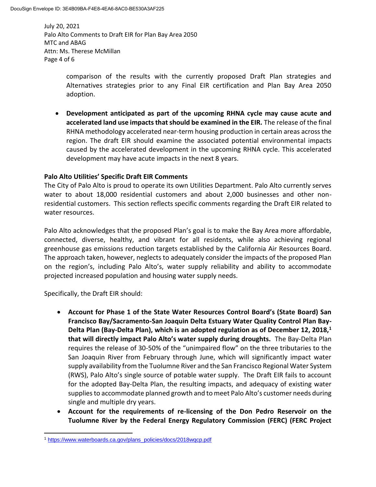July 20, 2021 Palo Alto Comments to Draft EIR for Plan Bay Area 2050 MTC and ABAG Attn: Ms. Therese McMillan Page 4 of 6

> comparison of the results with the currently proposed Draft Plan strategies and Alternatives strategies prior to any Final EIR certification and Plan Bay Area 2050 adoption.

 **Development anticipated as part of the upcoming RHNA cycle may cause acute and accelerated land use impacts that should be examined in the EIR.** The release of the final RHNA methodology accelerated near-term housing production in certain areas across the region. The draft EIR should examine the associated potential environmental impacts caused by the accelerated development in the upcoming RHNA cycle. This accelerated development may have acute impacts in the next 8 years.

#### **Palo Alto Utilities' Specific Draft EIR Comments**

The City of Palo Alto is proud to operate its own Utilities Department. Palo Alto currently serves water to about 18,000 residential customers and about 2,000 businesses and other nonresidential customers. This section reflects specific comments regarding the Draft EIR related to water resources.

Palo Alto acknowledges that the proposed Plan's goal is to make the Bay Area more affordable, connected, diverse, healthy, and vibrant for all residents, while also achieving regional greenhouse gas emissions reduction targets established by the California Air Resources Board. The approach taken, however, neglects to adequately consider the impacts of the proposed Plan on the region's, including Palo Alto's, water supply reliability and ability to accommodate projected increased population and housing water supply needs.

Specifically, the Draft EIR should:

 $\overline{a}$ 

- **Account for Phase 1 of the State Water Resources Control Board's (State Board) San Francisco Bay/Sacramento-San Joaquin Delta Estuary Water Quality Control Plan Bay-Delta Plan (Bay-Delta Plan), which is an adopted regulation as of December 12, 2018,<sup>1</sup> that will directly impact Palo Alto's water supply during droughts.** The Bay-Delta Plan requires the release of 30-50% of the "unimpaired flow" on the three tributaries to the San Joaquin River from February through June, which will significantly impact water supply availability from the Tuolumne River and the San Francisco Regional Water System (RWS), Palo Alto's single source of potable water supply. The Draft EIR fails to account for the adopted Bay-Delta Plan, the resulting impacts, and adequacy of existing water supplies to accommodate planned growth and to meet Palo Alto's customer needs during single and multiple dry years.
- **Account for the requirements of re-licensing of the Don Pedro Reservoir on the Tuolumne River by the Federal Energy Regulatory Commission (FERC) (FERC Project**

<sup>1</sup> [https://www.waterboards.ca.gov/plans\\_policies/docs/2018wqcp.pdf](https://www.waterboards.ca.gov/plans_policies/docs/2018wqcp.pdf)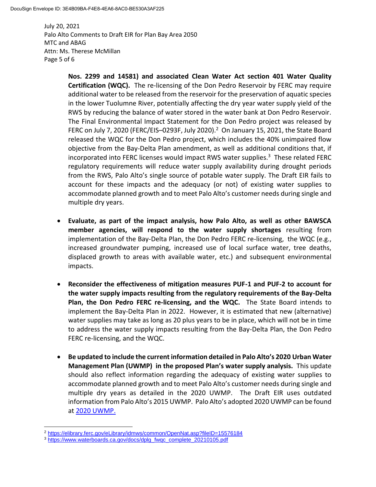July 20, 2021 Palo Alto Comments to Draft EIR for Plan Bay Area 2050 MTC and ABAG Attn: Ms. Therese McMillan Page 5 of 6

> **Nos. 2299 and 14581) and associated Clean Water Act section 401 Water Quality Certification (WQC).** The re-licensing of the Don Pedro Reservoir by FERC may require additional water to be released from the reservoir for the preservation of aquatic species in the lower Tuolumne River, potentially affecting the dry year water supply yield of the RWS by reducing the balance of water stored in the water bank at Don Pedro Reservoir. The Final Environmental Impact Statement for the Don Pedro project was released by FERC on July 7, 2020 (FERC/EIS-0293F, July 2020). $^2$  On January 15, 2021, the State Board released the WQC for the Don Pedro project, which includes the 40% unimpaired flow objective from the Bay-Delta Plan amendment, as well as additional conditions that, if incorporated into FERC licenses would impact RWS water supplies.<sup>3</sup> These related FERC regulatory requirements will reduce water supply availability during drought periods from the RWS, Palo Alto's single source of potable water supply. The Draft EIR fails to account for these impacts and the adequacy (or not) of existing water supplies to accommodate planned growth and to meet Palo Alto's customer needs during single and multiple dry years.

- **Evaluate, as part of the impact analysis, how Palo Alto, as well as other BAWSCA member agencies, will respond to the water supply shortages** resulting from implementation of the Bay-Delta Plan, the Don Pedro FERC re-licensing, the WQC (e.g., increased groundwater pumping, increased use of local surface water, tree deaths, displaced growth to areas with available water, etc.) and subsequent environmental impacts.
- **Reconsider the effectiveness of mitigation measures PUF-1 and PUF-2 to account for the water supply impacts resulting from the regulatory requirements of the Bay-Delta Plan, the Don Pedro FERC re-licensing, and the WQC.** The State Board intends to implement the Bay-Delta Plan in 2022. However, it is estimated that new (alternative) water supplies may take as long as 20 plus years to be in place, which will not be in time to address the water supply impacts resulting from the Bay-Delta Plan, the Don Pedro FERC re-licensing, and the WQC.
- **Be updated to include the current information detailed in Palo Alto's 2020 Urban Water Management Plan (UWMP) in the proposed Plan's water supply analysis.** This update should also reflect information regarding the adequacy of existing water supplies to accommodate planned growth and to meet Palo Alto's customer needs during single and multiple dry years as detailed in the 2020 UWMP. The Draft EIR uses outdated information from Palo Alto's 2015 UWMP. Palo Alto's adopted 2020 UWMP can be found at [2020 UWMP.](https://www.cityofpaloalto.org/files/assets/public/utilities/uwmp/2020-uwmp_final-submission-to-dwr.pdf)

 $\overline{\phantom{a}}$ <sup>2</sup> <https://elibrary.ferc.gov/eLibrary/idmws/common/OpenNat.asp?fileID=15576184>

<sup>3</sup> [https://www.waterboards.ca.gov/docs/dplg\\_fwqc\\_complete\\_20210105.pdf](https://www.waterboards.ca.gov/docs/dplg_fwqc_complete_20210105.pdf)